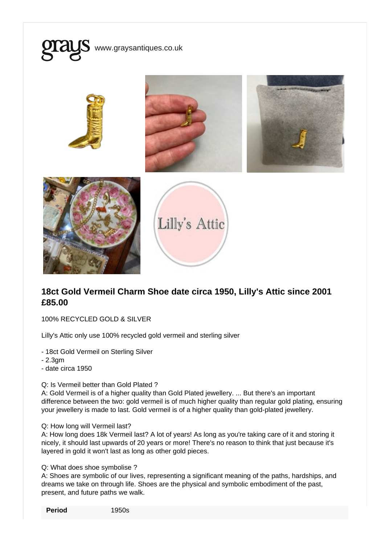

## 18ct Gold Vermeil Charm Shoe date circa 1950, Lilly's Attic since 2001 £85.00

100% RECYCLED GOLD & SILVER

Lilly's Attic only use 100% recycled gold vermeil and sterling silver

- 18ct Gold Vermeil on Sterling Silver

- 2.3gm

- date circa 1950

## Q: Is Vermeil better than Gold Plated ?

A: Gold Vermeil is of a higher quality than Gold Plated jewellery. ... But there's an important difference between the two: gold vermeil is of much higher quality than regular gold plating, ensuring your jewellery is made to last. Gold vermeil is of a higher quality than gold-plated jewellery.

## Q: How long will Vermeil last?

A: How long does 18k Vermeil last? A lot of years! As long as you're taking care of it and storing it nicely, it should last upwards of 20 years or more! There's no reason to think that just because it's layered in gold it won't last as long as other gold pieces.

Q: What does shoe symbolise ?

A: Shoes are symbolic of our lives, representing a significant meaning of the paths, hardships, and dreams we take on through life. Shoes are the physical and symbolic embodiment of the past, present, and future paths we walk.

Period 1950s